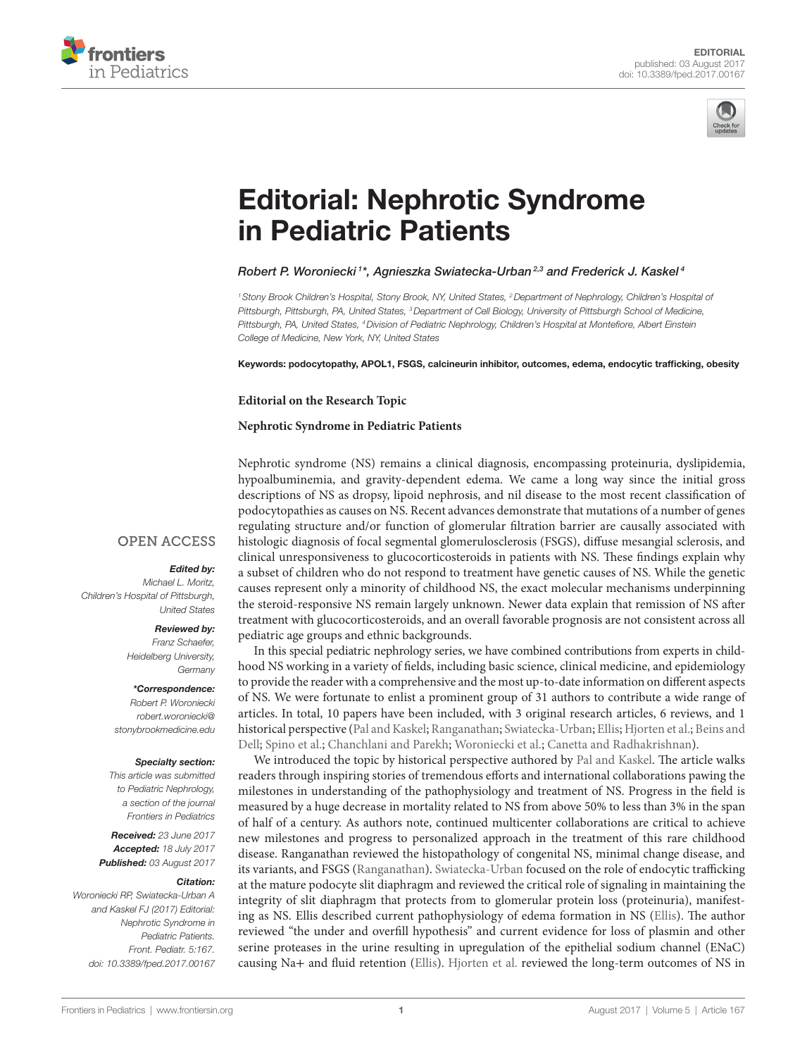



# [Editorial: Nephrotic Syndrome](http://www.frontiersin.org/Journal/10.3389/fped.2017.00167/abstract)  [in Pediatric Patients](http://www.frontiersin.org/Journal/10.3389/fped.2017.00167/abstract)

### *[Robert P. Woroniecki](http://loop.frontiersin.org/people/153440) <sup>1</sup> \*, Agnieszka Swiatecka-Urban 2,3 and Frederick J. Kaskel <sup>4</sup>*

<sup>1</sup> Stony Brook Children's Hospital, Stony Brook, NY, United States, <sup>2</sup> Department of Nephrology, Children's Hospital of *Pittsburgh, Pittsburgh, PA, United States, 3Department of Cell Biology, University of Pittsburgh School of Medicine, Pittsburgh, PA, United States, 4Division of Pediatric Nephrology, Children's Hospital at Montefiore, Albert Einstein College of Medicine, New York, NY, United States*

Keywords: podocytopathy, APOL1, FSGS, calcineurin inhibitor, outcomes, edema, endocytic trafficking, obesity

#### **Editorial on the Research Topic**

#### **[Nephrotic Syndrome in Pediatric Patients](http://journal.frontiersin.org/researchtopic/3714)**

Nephrotic syndrome (NS) remains a clinical diagnosis, encompassing proteinuria, dyslipidemia, hypoalbuminemia, and gravity-dependent edema. We came a long way since the initial gross descriptions of NS as dropsy, lipoid nephrosis, and nil disease to the most recent classification of podocytopathies as causes on NS. Recent advances demonstrate that mutations of a number of genes regulating structure and/or function of glomerular filtration barrier are causally associated with histologic diagnosis of focal segmental glomerulosclerosis (FSGS), diffuse mesangial sclerosis, and clinical unresponsiveness to glucocorticosteroids in patients with NS. These findings explain why a subset of children who do not respond to treatment have genetic causes of NS. While the genetic causes represent only a minority of childhood NS, the exact molecular mechanisms underpinning the steroid-responsive NS remain largely unknown. Newer data explain that remission of NS after treatment with glucocorticosteroids, and an overall favorable prognosis are not consistent across all pediatric age groups and ethnic backgrounds.

In this special pediatric nephrology series, we have combined contributions from experts in childhood NS working in a variety of fields, including basic science, clinical medicine, and epidemiology to provide the reader with a comprehensive and the most up-to-date information on different aspects of NS. We were fortunate to enlist a prominent group of 31 authors to contribute a wide range of articles. In total, 10 papers have been included, with 3 original research articles, 6 reviews, and 1 historical perspective ([Pal and Kaskel;](https://doi.org/10.3389/fped.2016.00056) [Ranganathan;](https://doi.org/10.3389/fped.2016.00032) [Swiatecka-Urban](https://doi.org/10.3389/fped.2017.00032); [Ellis](https://doi.org/10.3389/fped.2015.00111); [Hjorten et al.](https://doi.org/10.3389/fped.2016.00053); [Beins and](https://doi.org/10.3389/fped.2015.00104)  [Dell;](https://doi.org/10.3389/fped.2015.00104) [Spino et al.;](https://doi.org/10.3389/fped.2016.00025) [Chanchlani and Parekh](https://doi.org/10.3389/fped.2016.00039); [Woroniecki et al.;](https://doi.org/10.3389/fped.2016.00122) [Canetta and Radhakrishnan\)](https://doi.org/10.3389/fped.2015.00078).

We introduced the topic by historical perspective authored by [Pal and Kaskel](https://doi.org/10.3389/fped.2016.00056). The article walks readers through inspiring stories of tremendous efforts and international collaborations pawing the milestones in understanding of the pathophysiology and treatment of NS. Progress in the field is measured by a huge decrease in mortality related to NS from above 50% to less than 3% in the span of half of a century. As authors note, continued multicenter collaborations are critical to achieve new milestones and progress to personalized approach in the treatment of this rare childhood disease. Ranganathan reviewed the histopathology of congenital NS, minimal change disease, and its variants, and FSGS [\(Ranganathan\)](https://doi.org/10.3389/fped.2016.00032). [Swiatecka-Urban](https://doi.org/10.3389/fped.2017.00032) focused on the role of endocytic trafficking at the mature podocyte slit diaphragm and reviewed the critical role of signaling in maintaining the integrity of slit diaphragm that protects from to glomerular protein loss (proteinuria), manifesting as NS. Ellis described current pathophysiology of edema formation in NS ([Ellis](https://doi.org/10.3389/fped.2015.00111)). The author reviewed "the under and overfill hypothesis" and current evidence for loss of plasmin and other serine proteases in the urine resulting in upregulation of the epithelial sodium channel (ENaC) causing Na+ and fluid retention [\(Ellis](https://doi.org/10.3389/fped.2015.00111)). [Hjorten et al.](https://doi.org/10.3389/fped.2016.00053) reviewed the long-term outcomes of NS in

## **OPEN ACCESS**

## *Edited by:*

*Michael L. Moritz, Children's Hospital of Pittsburgh, United States*

### *Reviewed by:*

*Franz Schaefer, Heidelberg University, Germany*

#### *\*Correspondence:*

*Robert P. Woroniecki [robert.woroniecki@](mailto:robert.woroniecki@stonybrookmedicine.edu) [stonybrookmedicine.edu](mailto:robert.woroniecki@stonybrookmedicine.edu)*

#### *Specialty section:*

*This article was submitted to Pediatric Nephrology, a section of the journal Frontiers in Pediatrics*

*Received: 23 June 2017 Accepted: 18 July 2017 Published: 03 August 2017*

#### *Citation:*

*Woroniecki RP, Swiatecka-Urban A and Kaskel FJ (2017) Editorial: Nephrotic Syndrome in Pediatric Patients. Front. Pediatr. 5:167. doi: [10.3389/fped.2017.00167](https://doi.org/10.3389/fped.2017.00167)*